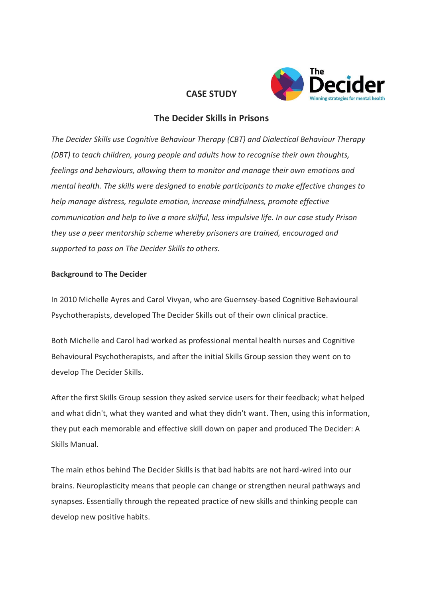

# **CASE STUDY**

# **The Decider Skills in Prisons**

*The Decider Skills use Cognitive Behaviour Therapy (CBT) and Dialectical Behaviour Therapy (DBT) to teach children, young people and adults how to recognise their own thoughts, feelings and behaviours, allowing them to monitor and manage their own emotions and mental health. The skills were designed to enable participants to make effective changes to help manage distress, regulate emotion, increase mindfulness, promote effective communication and help to live a more skilful, less impulsive life. In our case study Prison they use a peer mentorship scheme whereby prisoners are trained, encouraged and supported to pass on The Decider Skills to others.*

## **Background to The Decider**

In 2010 Michelle Ayres and Carol Vivyan, who are Guernsey-based Cognitive Behavioural Psychotherapists, developed The Decider Skills out of their own clinical practice.

Both Michelle and Carol had worked as professional mental health nurses and Cognitive Behavioural Psychotherapists, and after the initial Skills Group session they went on to develop The Decider Skills.

After the first Skills Group session they asked service users for their feedback; what helped and what didn't, what they wanted and what they didn't want. Then, using this information, they put each memorable and effective skill down on paper and produced The Decider: A Skills Manual.

The main ethos behind The Decider Skills is that bad habits are not hard-wired into our brains. Neuroplasticity means that people can change or strengthen neural pathways and synapses. Essentially through the repeated practice of new skills and thinking people can develop new positive habits.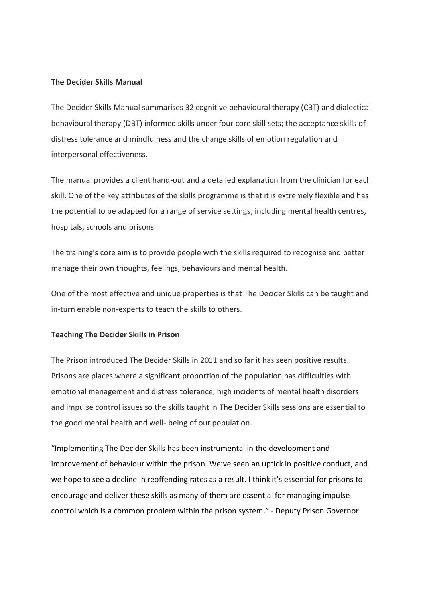## **The Decider Skills Manual**

The Decider Skills Manual summarises 32 cognitive behavioural therapy (CBT) and dialectical behavioural therapy (DBT) informed skills under four core skill sets; the acceptance skills of distress tolerance and mindfulness and the change skills of emotion regulation and interpersonal effectiveness.

The manual provides a client hand-out and a detailed explanation from the clinician for each skill. One of the key attributes of the skills programme is that it is extremely flexible and has the potential to be adapted for a range of service settings, including mental health centres, hospitals, schools and prisons.

The training's core aim is to provide people with the skills required to recognise and better manage their own thoughts, feelings, behaviours and mental health.

One of the most effective and unique properties is that The Decider Skills can be taught and in-turn enable non-experts to teach the skills to others.

#### **Teaching The Decider Skills in Prison**

The Prison introduced The Decider Skills in 2011 and so far it has seen positive results. Prisons are places where a significant proportion of the population has difficulties with emotional management and distress tolerance, high incidents of mental health disorders and impulse control issues so the skills taught in The Decider Skills sessions are essential to the good mental health and well- being of our population.

"Implementing The Decider Skills has been instrumental in the development and improvement of behaviour within the prison. We've seen an uptick in positive conduct, and we hope to see a decline in reoffending rates as a result. I think it's essential for prisons to encourage and deliver these skills as many of them are essential for managing impulse control which is a common problem within the prison system." - Deputy Prison Governor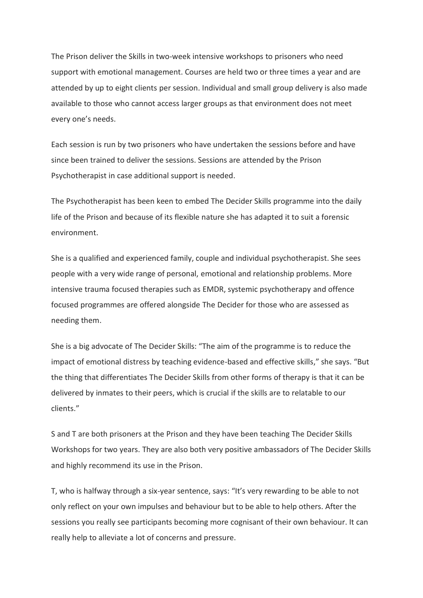The Prison deliver the Skills in two-week intensive workshops to prisoners who need support with emotional management. Courses are held two or three times a year and are attended by up to eight clients per session. Individual and small group delivery is also made available to those who cannot access larger groups as that environment does not meet every one's needs.

Each session is run by two prisoners who have undertaken the sessions before and have since been trained to deliver the sessions. Sessions are attended by the Prison Psychotherapist in case additional support is needed.

The Psychotherapist has been keen to embed The Decider Skills programme into the daily life of the Prison and because of its flexible nature she has adapted it to suit a forensic environment.

She is a qualified and experienced family, couple and individual psychotherapist. She sees people with a very wide range of personal, emotional and relationship problems. More intensive trauma focused therapies such as EMDR, systemic psychotherapy and offence focused programmes are offered alongside The Decider for those who are assessed as needing them.

She is a big advocate of The Decider Skills: "The aim of the programme is to reduce the impact of emotional distress by teaching evidence-based and effective skills," she says. "But the thing that differentiates The Decider Skills from other forms of therapy is that it can be delivered by inmates to their peers, which is crucial if the skills are to relatable to our clients."

S and T are both prisoners at the Prison and they have been teaching The Decider Skills Workshops for two years. They are also both very positive ambassadors of The Decider Skills and highly recommend its use in the Prison.

T, who is halfway through a six-year sentence, says: "It's very rewarding to be able to not only reflect on your own impulses and behaviour but to be able to help others. After the sessions you really see participants becoming more cognisant of their own behaviour. It can really help to alleviate a lot of concerns and pressure.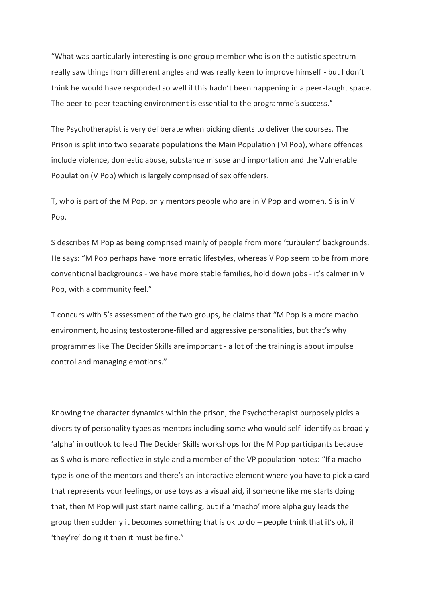"What was particularly interesting is one group member who is on the autistic spectrum really saw things from different angles and was really keen to improve himself - but I don't think he would have responded so well if this hadn't been happening in a peer-taught space. The peer-to-peer teaching environment is essential to the programme's success."

The Psychotherapist is very deliberate when picking clients to deliver the courses. The Prison is split into two separate populations the Main Population (M Pop), where offences include violence, domestic abuse, substance misuse and importation and the Vulnerable Population (V Pop) which is largely comprised of sex offenders.

T, who is part of the M Pop, only mentors people who are in V Pop and women. S is in V Pop.

S describes M Pop as being comprised mainly of people from more 'turbulent' backgrounds. He says: "M Pop perhaps have more erratic lifestyles, whereas V Pop seem to be from more conventional backgrounds - we have more stable families, hold down jobs - it's calmer in V Pop, with a community feel."

T concurs with S's assessment of the two groups, he claims that "M Pop is a more macho environment, housing testosterone-filled and aggressive personalities, but that's why programmes like The Decider Skills are important - a lot of the training is about impulse control and managing emotions."

Knowing the character dynamics within the prison, the Psychotherapist purposely picks a diversity of personality types as mentors including some who would self- identify as broadly 'alpha' in outlook to lead The Decider Skills workshops for the M Pop participants because as S who is more reflective in style and a member of the VP population notes: "If a macho type is one of the mentors and there's an interactive element where you have to pick a card that represents your feelings, or use toys as a visual aid, if someone like me starts doing that, then M Pop will just start name calling, but if a 'macho' more alpha guy leads the group then suddenly it becomes something that is ok to do  $-$  people think that it's ok, if 'they're' doing it then it must be fine."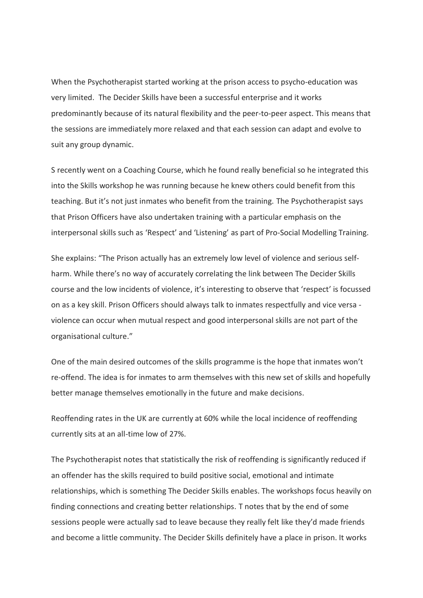When the Psychotherapist started working at the prison access to psycho-education was very limited. The Decider Skills have been a successful enterprise and it works predominantly because of its natural flexibility and the peer-to-peer aspect. This means that the sessions are immediately more relaxed and that each session can adapt and evolve to suit any group dynamic.

S recently went on a Coaching Course, which he found really beneficial so he integrated this into the Skills workshop he was running because he knew others could benefit from this teaching. But it's not just inmates who benefit from the training. The Psychotherapist says that Prison Officers have also undertaken training with a particular emphasis on the interpersonal skills such as 'Respect' and 'Listening' as part of Pro-Social Modelling Training.

She explains: "The Prison actually has an extremely low level of violence and serious selfharm. While there's no way of accurately correlating the link between The Decider Skills course and the low incidents of violence, it's interesting to observe that 'respect' is focussed on as a key skill. Prison Officers should always talk to inmates respectfully and vice versa violence can occur when mutual respect and good interpersonal skills are not part of the organisational culture."

One of the main desired outcomes of the skills programme is the hope that inmates won't re-offend. The idea is for inmates to arm themselves with this new set of skills and hopefully better manage themselves emotionally in the future and make decisions.

Reoffending rates in the UK are currently at 60% while the local incidence of reoffending currently sits at an all-time low of 27%.

The Psychotherapist notes that statistically the risk of reoffending is significantly reduced if an offender has the skills required to build positive social, emotional and intimate relationships, which is something The Decider Skills enables. The workshops focus heavily on finding connections and creating better relationships. T notes that by the end of some sessions people were actually sad to leave because they really felt like they'd made friends and become a little community. The Decider Skills definitely have a place in prison. It works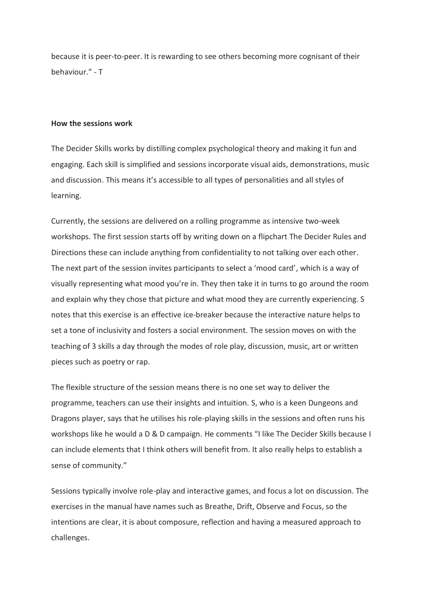because it is peer-to-peer. It is rewarding to see others becoming more cognisant of their behaviour." - T

#### **How the sessions work**

The Decider Skills works by distilling complex psychological theory and making it fun and engaging. Each skill is simplified and sessions incorporate visual aids, demonstrations, music and discussion. This means it's accessible to all types of personalities and all styles of learning.

Currently, the sessions are delivered on a rolling programme as intensive two-week workshops. The first session starts off by writing down on a flipchart The Decider Rules and Directions these can include anything from confidentiality to not talking over each other. The next part of the session invites participants to select a 'mood card', which is a way of visually representing what mood you're in. They then take it in turns to go around the room and explain why they chose that picture and what mood they are currently experiencing. S notes that this exercise is an effective ice-breaker because the interactive nature helps to set a tone of inclusivity and fosters a social environment. The session moves on with the teaching of 3 skills a day through the modes of role play, discussion, music, art or written pieces such as poetry or rap.

The flexible structure of the session means there is no one set way to deliver the programme, teachers can use their insights and intuition. S, who is a keen Dungeons and Dragons player, says that he utilises his role-playing skills in the sessions and often runs his workshops like he would a D & D campaign. He comments "I like The Decider Skills because I can include elements that I think others will benefit from. It also really helps to establish a sense of community."

Sessions typically involve role-play and interactive games, and focus a lot on discussion. The exercises in the manual have names such as Breathe, Drift, Observe and Focus, so the intentions are clear, it is about composure, reflection and having a measured approach to challenges.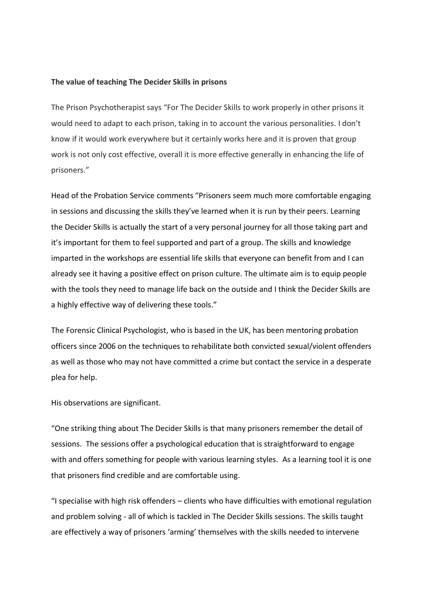#### **The value of teaching The Decider Skills in prisons**

The Prison Psychotherapist says "For The Decider Skills to work properly in other prisons it would need to adapt to each prison, taking in to account the various personalities. I don't know if it would work everywhere but it certainly works here and it is proven that group work is not only cost effective, overall it is more effective generally in enhancing the life of prisoners."

Head of the Probation Service comments "Prisoners seem much more comfortable engaging in sessions and discussing the skills they've learned when it is run by their peers. Learning the Decider Skills is actually the start of a very personal journey for all those taking part and it's important for them to feel supported and part of a group. The skills and knowledge imparted in the workshops are essential life skills that everyone can benefit from and I can already see it having a positive effect on prison culture. The ultimate aim is to equip people with the tools they need to manage life back on the outside and I think the Decider Skills are a highly effective way of delivering these tools."

The Forensic Clinical Psychologist, who is based in the UK, has been mentoring probation officers since 2006 on the techniques to rehabilitate both convicted sexual/violent offenders as well as those who may not have committed a crime but contact the service in a desperate plea for help.

His observations are significant.

"One striking thing about The Decider Skills is that many prisoners remember the detail of sessions. The sessions offer a psychological education that is straightforward to engage with and offers something for people with various learning styles. As a learning tool it is one that prisoners find credible and are comfortable using.

"I specialise with high risk offenders – clients who have difficulties with emotional regulation and problem solving - all of which is tackled in The Decider Skills sessions. The skills taught are effectively a way of prisoners 'arming' themselves with the skills needed to intervene